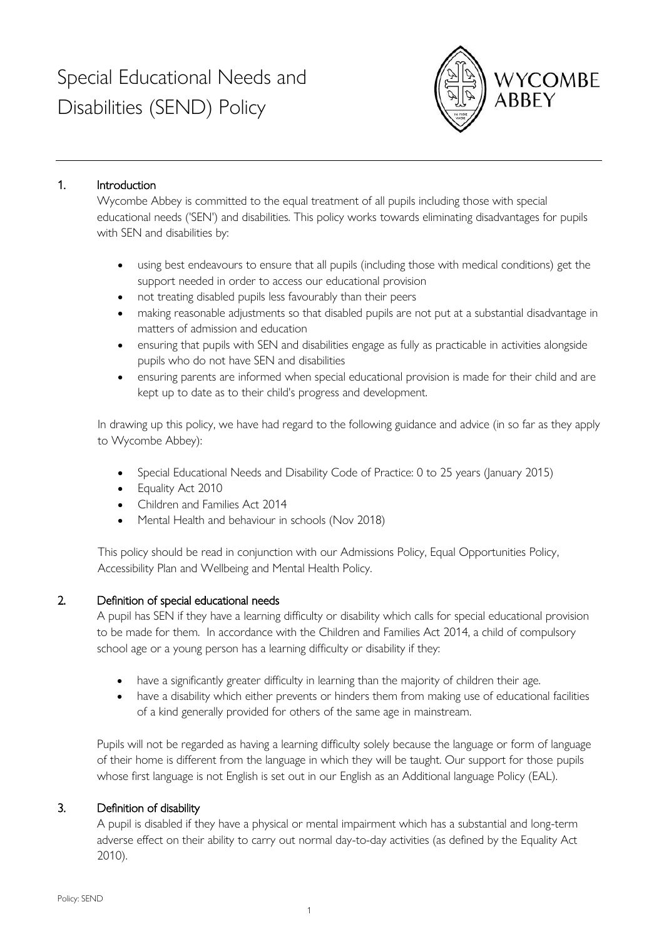# Special Educational Needs and Disabilities (SEND) Policy



# 1. Introduction

Wycombe Abbey is committed to the equal treatment of all pupils including those with special educational needs ('SEN') and disabilities. This policy works towards eliminating disadvantages for pupils with SEN and disabilities by:

- using best endeavours to ensure that all pupils (including those with medical conditions) get the support needed in order to access our educational provision
- not treating disabled pupils less favourably than their peers
- making reasonable adjustments so that disabled pupils are not put at a substantial disadvantage in matters of admission and education
- ensuring that pupils with SEN and disabilities engage as fully as practicable in activities alongside pupils who do not have SEN and disabilities
- ensuring parents are informed when special educational provision is made for their child and are kept up to date as to their child's progress and development.

In drawing up this policy, we have had regard to the following guidance and advice (in so far as they apply to Wycombe Abbey):

- Special Educational Needs and Disability Code of Practice: 0 to 25 years (January 2015)
- Equality Act 2010
- Children and Families Act 2014
- Mental Health and behaviour in schools (Nov 2018)

This policy should be read in conjunction with our Admissions Policy, Equal Opportunities Policy, Accessibility Plan and Wellbeing and Mental Health Policy.

# 2. Definition of special educational needs

A pupil has SEN if they have a learning difficulty or disability which calls for special educational provision to be made for them. In accordance with the Children and Families Act 2014, a child of compulsory school age or a young person has a learning difficulty or disability if they:

- have a significantly greater difficulty in learning than the majority of children their age.
- have a disability which either prevents or hinders them from making use of educational facilities of a kind generally provided for others of the same age in mainstream.

Pupils will not be regarded as having a learning difficulty solely because the language or form of language of their home is different from the language in which they will be taught. Our support for those pupils whose first language is not English is set out in our English as an Additional language Policy (EAL).

# 3. Definition of disability

A pupil is disabled if they have a physical or mental impairment which has a substantial and long-term adverse effect on their ability to carry out normal day-to-day activities (as defined by the Equality Act 2010).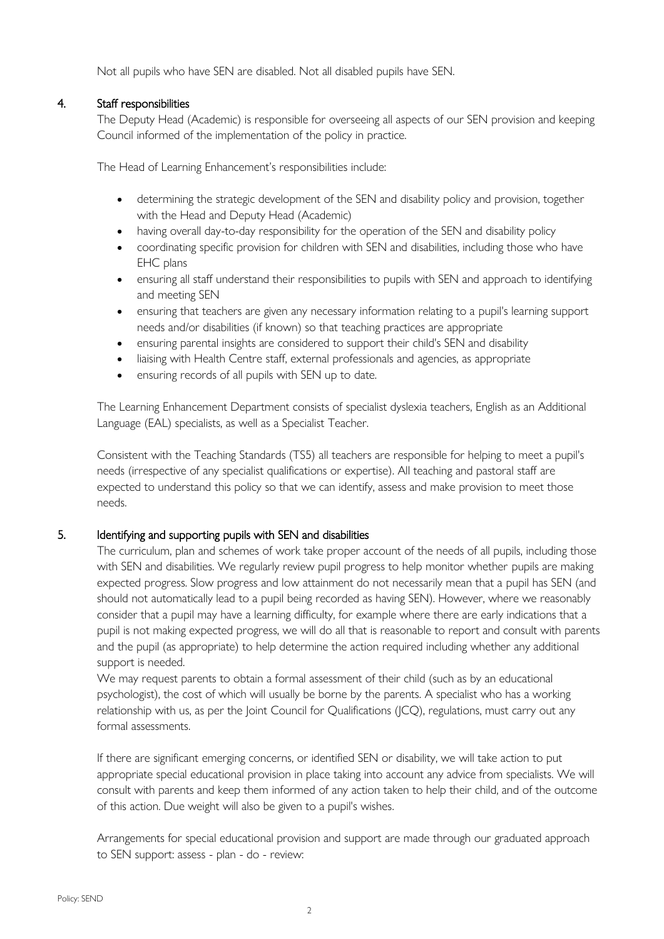Not all pupils who have SEN are disabled. Not all disabled pupils have SEN.

## 4. Staff responsibilities

The Deputy Head (Academic) is responsible for overseeing all aspects of our SEN provision and keeping Council informed of the implementation of the policy in practice.

The Head of Learning Enhancement's responsibilities include:

- determining the strategic development of the SEN and disability policy and provision, together with the Head and Deputy Head (Academic)
- having overall day-to-day responsibility for the operation of the SEN and disability policy
- coordinating specific provision for children with SEN and disabilities, including those who have EHC plans
- ensuring all staff understand their responsibilities to pupils with SEN and approach to identifying and meeting SEN
- ensuring that teachers are given any necessary information relating to a pupil's learning support needs and/or disabilities (if known) so that teaching practices are appropriate
- ensuring parental insights are considered to support their child's SEN and disability
- liaising with Health Centre staff, external professionals and agencies, as appropriate
- ensuring records of all pupils with SEN up to date.

The Learning Enhancement Department consists of specialist dyslexia teachers, English as an Additional Language (EAL) specialists, as well as a Specialist Teacher.

Consistent with the Teaching Standards (TS5) all teachers are responsible for helping to meet a pupil's needs (irrespective of any specialist qualifications or expertise). All teaching and pastoral staff are expected to understand this policy so that we can identify, assess and make provision to meet those needs.

## 5. Identifying and supporting pupils with SEN and disabilities

The curriculum, plan and schemes of work take proper account of the needs of all pupils, including those with SEN and disabilities. We regularly review pupil progress to help monitor whether pupils are making expected progress. Slow progress and low attainment do not necessarily mean that a pupil has SEN (and should not automatically lead to a pupil being recorded as having SEN). However, where we reasonably consider that a pupil may have a learning difficulty, for example where there are early indications that a pupil is not making expected progress, we will do all that is reasonable to report and consult with parents and the pupil (as appropriate) to help determine the action required including whether any additional support is needed.

We may request parents to obtain a formal assessment of their child (such as by an educational psychologist), the cost of which will usually be borne by the parents. A specialist who has a working relationship with us, as per the Joint Council for Qualifications (JCQ), regulations, must carry out any formal assessments.

If there are significant emerging concerns, or identified SEN or disability, we will take action to put appropriate special educational provision in place taking into account any advice from specialists. We will consult with parents and keep them informed of any action taken to help their child, and of the outcome of this action. Due weight will also be given to a pupil's wishes.

Arrangements for special educational provision and support are made through our graduated approach to SEN support: assess - plan - do - review: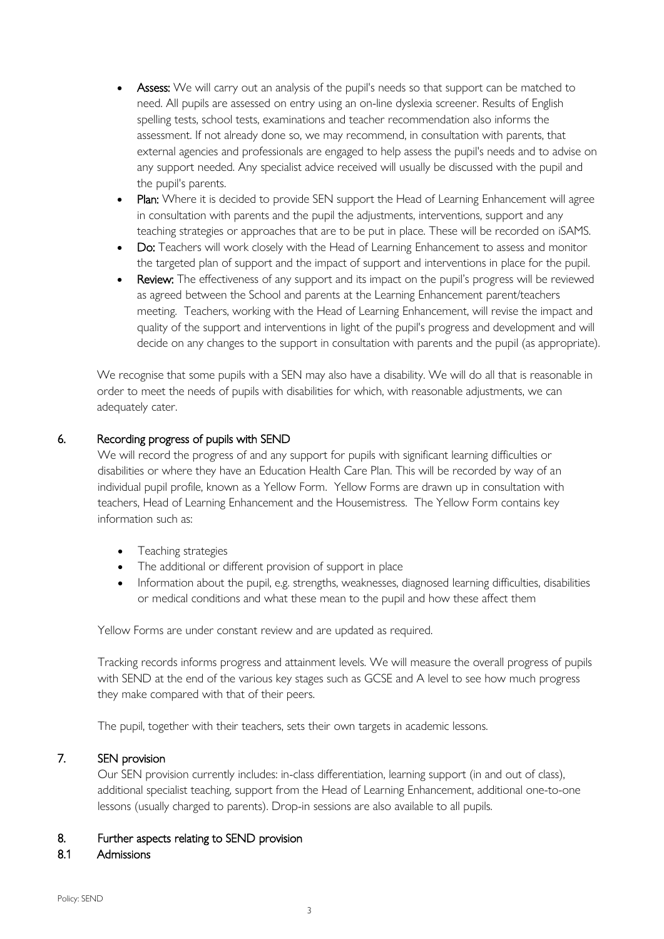- **Assess:** We will carry out an analysis of the pupil's needs so that support can be matched to need. All pupils are assessed on entry using an on-line dyslexia screener. Results of English spelling tests, school tests, examinations and teacher recommendation also informs the assessment. If not already done so, we may recommend, in consultation with parents, that external agencies and professionals are engaged to help assess the pupil's needs and to advise on any support needed. Any specialist advice received will usually be discussed with the pupil and the pupil's parents.
- Plan: Where it is decided to provide SEN support the Head of Learning Enhancement will agree in consultation with parents and the pupil the adjustments, interventions, support and any teaching strategies or approaches that are to be put in place. These will be recorded on iSAMS.
- Do: Teachers will work closely with the Head of Learning Enhancement to assess and monitor the targeted plan of support and the impact of support and interventions in place for the pupil.
- Review: The effectiveness of any support and its impact on the pupil's progress will be reviewed as agreed between the School and parents at the Learning Enhancement parent/teachers meeting. Teachers, working with the Head of Learning Enhancement, will revise the impact and quality of the support and interventions in light of the pupil's progress and development and will decide on any changes to the support in consultation with parents and the pupil (as appropriate).

We recognise that some pupils with a SEN may also have a disability. We will do all that is reasonable in order to meet the needs of pupils with disabilities for which, with reasonable adjustments, we can adequately cater.

## 6. Recording progress of pupils with SEND

We will record the progress of and any support for pupils with significant learning difficulties or disabilities or where they have an Education Health Care Plan. This will be recorded by way of an individual pupil profile, known as a Yellow Form. Yellow Forms are drawn up in consultation with teachers, Head of Learning Enhancement and the Housemistress. The Yellow Form contains key information such as:

- Teaching strategies
- The additional or different provision of support in place
- Information about the pupil, e.g. strengths, weaknesses, diagnosed learning difficulties, disabilities or medical conditions and what these mean to the pupil and how these affect them

Yellow Forms are under constant review and are updated as required.

Tracking records informs progress and attainment levels. We will measure the overall progress of pupils with SEND at the end of the various key stages such as GCSE and A level to see how much progress they make compared with that of their peers.

The pupil, together with their teachers, sets their own targets in academic lessons.

## 7. SEN provision

Our SEN provision currently includes: in-class differentiation, learning support (in and out of class), additional specialist teaching, support from the Head of Learning Enhancement, additional one-to-one lessons (usually charged to parents). Drop-in sessions are also available to all pupils.

#### 8. Further aspects relating to SEND provision

#### 8.1 Admissions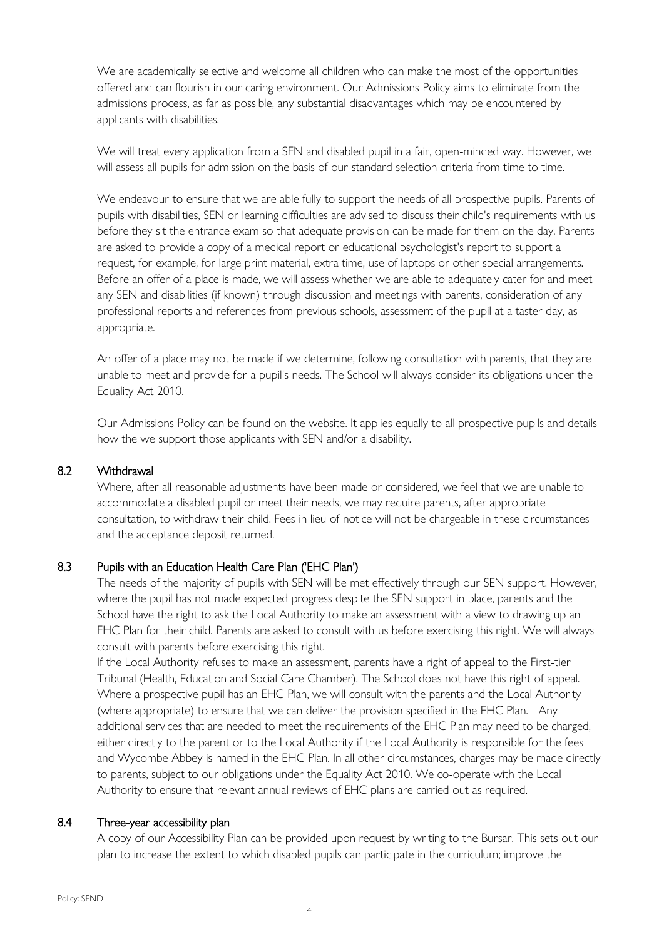We are academically selective and welcome all children who can make the most of the opportunities offered and can flourish in our caring environment. Our Admissions Policy aims to eliminate from the admissions process, as far as possible, any substantial disadvantages which may be encountered by applicants with disabilities.

We will treat every application from a SEN and disabled pupil in a fair, open-minded way. However, we will assess all pupils for admission on the basis of our standard selection criteria from time to time.

We endeavour to ensure that we are able fully to support the needs of all prospective pupils. Parents of pupils with disabilities, SEN or learning difficulties are advised to discuss their child's requirements with us before they sit the entrance exam so that adequate provision can be made for them on the day. Parents are asked to provide a copy of a medical report or educational psychologist's report to support a request, for example, for large print material, extra time, use of laptops or other special arrangements. Before an offer of a place is made, we will assess whether we are able to adequately cater for and meet any SEN and disabilities (if known) through discussion and meetings with parents, consideration of any professional reports and references from previous schools, assessment of the pupil at a taster day, as appropriate.

An offer of a place may not be made if we determine, following consultation with parents, that they are unable to meet and provide for a pupil's needs. The School will always consider its obligations under the Equality Act 2010.

Our Admissions Policy can be found on the website. It applies equally to all prospective pupils and details how the we support those applicants with SEN and/or a disability.

#### 8.2 Withdrawal

Where, after all reasonable adjustments have been made or considered, we feel that we are unable to accommodate a disabled pupil or meet their needs, we may require parents, after appropriate consultation, to withdraw their child. Fees in lieu of notice will not be chargeable in these circumstances and the acceptance deposit returned.

## 8.3 Pupils with an Education Health Care Plan ('EHC Plan')

The needs of the majority of pupils with SEN will be met effectively through our SEN support. However, where the pupil has not made expected progress despite the SEN support in place, parents and the School have the right to ask the Local Authority to make an assessment with a view to drawing up an EHC Plan for their child. Parents are asked to consult with us before exercising this right. We will always consult with parents before exercising this right.

If the Local Authority refuses to make an assessment, parents have a right of appeal to the First-tier Tribunal (Health, Education and Social Care Chamber). The School does not have this right of appeal. Where a prospective pupil has an EHC Plan, we will consult with the parents and the Local Authority (where appropriate) to ensure that we can deliver the provision specified in the EHC Plan. Any additional services that are needed to meet the requirements of the EHC Plan may need to be charged, either directly to the parent or to the Local Authority if the Local Authority is responsible for the fees and Wycombe Abbey is named in the EHC Plan. In all other circumstances, charges may be made directly to parents, subject to our obligations under the Equality Act 2010. We co-operate with the Local Authority to ensure that relevant annual reviews of EHC plans are carried out as required.

#### 8.4 Three-year accessibility plan

A copy of our Accessibility Plan can be provided upon request by writing to the Bursar. This sets out our plan to increase the extent to which disabled pupils can participate in the curriculum; improve the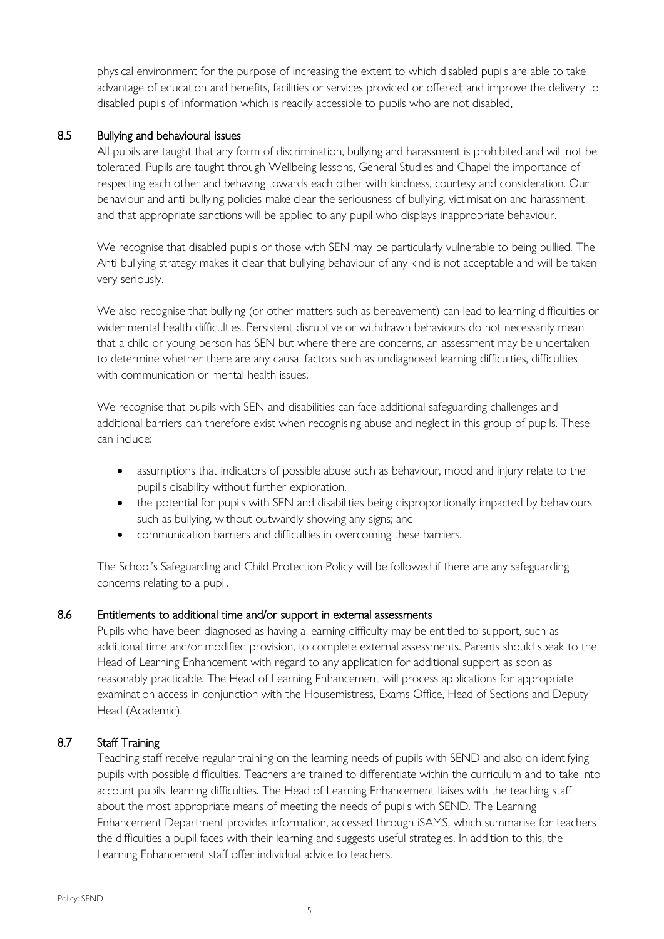physical environment for the purpose of increasing the extent to which disabled pupils are able to take advantage of education and benefits, facilities or services provided or offered; and improve the delivery to disabled pupils of information which is readily accessible to pupils who are not disabled.

## 8.5 Bullying and behavioural issues

All pupils are taught that any form of discrimination, bullying and harassment is prohibited and will not be tolerated. Pupils are taught through Wellbeing lessons, General Studies and Chapel the importance of respecting each other and behaving towards each other with kindness, courtesy and consideration. Our behaviour and anti-bullying policies make clear the seriousness of bullying, victimisation and harassment and that appropriate sanctions will be applied to any pupil who displays inappropriate behaviour.

We recognise that disabled pupils or those with SEN may be particularly vulnerable to being bullied. The Anti-bullying strategy makes it clear that bullying behaviour of any kind is not acceptable and will be taken very seriously.

We also recognise that bullying (or other matters such as bereavement) can lead to learning difficulties or wider mental health difficulties. Persistent disruptive or withdrawn behaviours do not necessarily mean that a child or young person has SEN but where there are concerns, an assessment may be undertaken to determine whether there are any causal factors such as undiagnosed learning difficulties, difficulties with communication or mental health issues.

We recognise that pupils with SEN and disabilities can face additional safeguarding challenges and additional barriers can therefore exist when recognising abuse and neglect in this group of pupils. These can include:

- assumptions that indicators of possible abuse such as behaviour, mood and injury relate to the pupil's disability without further exploration.
- the potential for pupils with SEN and disabilities being disproportionally impacted by behaviours such as bullying, without outwardly showing any signs; and
- communication barriers and difficulties in overcoming these barriers.

The School's Safeguarding and Child Protection Policy will be followed if there are any safeguarding concerns relating to a pupil.

# 8.6 Entitlements to additional time and/or support in external assessments

Pupils who have been diagnosed as having a learning difficulty may be entitled to support, such as additional time and/or modified provision, to complete external assessments. Parents should speak to the Head of Learning Enhancement with regard to any application for additional support as soon as reasonably practicable. The Head of Learning Enhancement will process applications for appropriate examination access in conjunction with the Housemistress, Exams Office, Head of Sections and Deputy Head (Academic).

# 8.7 Staff Training

Teaching staff receive regular training on the learning needs of pupils with SEND and also on identifying pupils with possible difficulties. Teachers are trained to differentiate within the curriculum and to take into account pupils' learning difficulties. The Head of Learning Enhancement liaises with the teaching staff about the most appropriate means of meeting the needs of pupils with SEND. The Learning Enhancement Department provides information, accessed through iSAMS, which summarise for teachers the difficulties a pupil faces with their learning and suggests useful strategies. In addition to this, the Learning Enhancement staff offer individual advice to teachers.